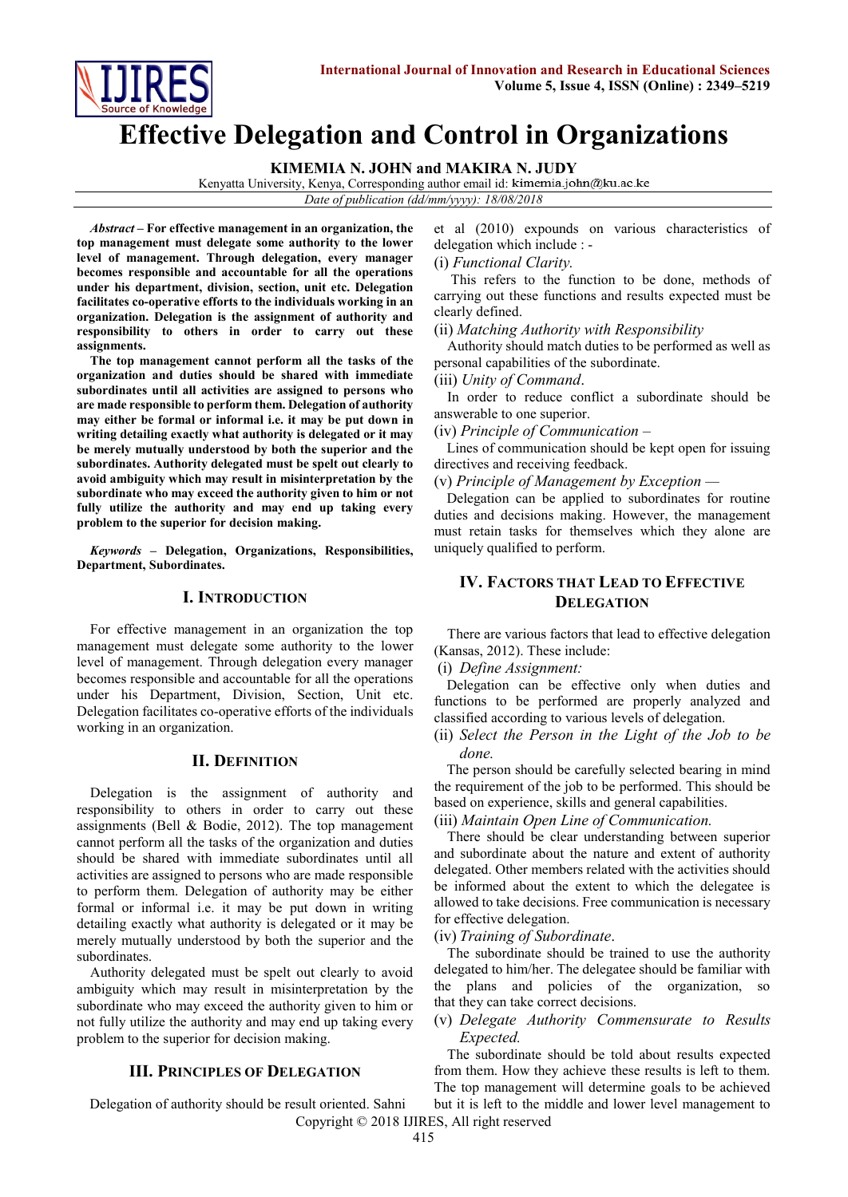

# **Effective Delegation and Control in Organizations**

**KIMEMIA N. JOHN and MAKIRA N. JUDY**

Kenyatta University, Kenya, Corresponding author email id: kimemia.john@ku.ac.ke

*Date of publication (dd/mm/yyyy): 18/08/2018*

*Abstract* **– For effective management in an organization, the top management must delegate some authority to the lower level of management. Through delegation, every manager becomes responsible and accountable for all the operations under his department, division, section, unit etc. Delegation facilitates co-operative efforts to the individuals working in an organization. Delegation is the assignment of authority and responsibility to others in order to carry out these assignments.** 

**The top management cannot perform all the tasks of the organization and duties should be shared with immediate subordinates until all activities are assigned to persons who are made responsible to perform them. Delegation of authority may either be formal or informal i.e. it may be put down in writing detailing exactly what authority is delegated or it may be merely mutually understood by both the superior and the subordinates. Authority delegated must be spelt out clearly to avoid ambiguity which may result in misinterpretation by the subordinate who may exceed the authority given to him or not fully utilize the authority and may end up taking every problem to the superior for decision making.**

*Keywords* **– Delegation, Organizations, Responsibilities, Department, Subordinates.**

#### **I. INTRODUCTION**

For effective management in an organization the top management must delegate some authority to the lower level of management. Through delegation every manager becomes responsible and accountable for all the operations under his Department, Division, Section, Unit etc. Delegation facilitates co-operative efforts of the individuals working in an organization.

#### **II. DEFINITION**

Delegation is the assignment of authority and responsibility to others in order to carry out these assignments (Bell & Bodie, 2012). The top management cannot perform all the tasks of the organization and duties should be shared with immediate subordinates until all activities are assigned to persons who are made responsible to perform them. Delegation of authority may be either formal or informal i.e. it may be put down in writing detailing exactly what authority is delegated or it may be merely mutually understood by both the superior and the subordinates.

Authority delegated must be spelt out clearly to avoid ambiguity which may result in misinterpretation by the subordinate who may exceed the authority given to him or not fully utilize the authority and may end up taking every problem to the superior for decision making.

#### **III. PRINCIPLES OF DELEGATION**

Delegation of authority should be result oriented. Sahni

et al (2010) expounds on various characteristics of delegation which include : -

#### (i) *Functional Clarity.*

This refers to the function to be done, methods of carrying out these functions and results expected must be clearly defined.

(ii) *Matching Authority with Responsibility*

Authority should match duties to be performed as well as personal capabilities of the subordinate.

(iii) *Unity of Command*.

In order to reduce conflict a subordinate should be answerable to one superior.

(iv) *Principle of Communication –*

Lines of communication should be kept open for issuing directives and receiving feedback.

(v) *Principle of Management by Exception —*

Delegation can be applied to subordinates for routine duties and decisions making. However, the management must retain tasks for themselves which they alone are uniquely qualified to perform.

# **IV. FACTORS THAT LEAD TO EFFECTIVE DELEGATION**

There are various factors that lead to effective delegation (Kansas, 2012). These include:

(i) *Define Assignment:*

Delegation can be effective only when duties and functions to be performed are properly analyzed and classified according to various levels of delegation.

(ii) *Select the Person in the Light of the Job to be done.*

The person should be carefully selected bearing in mind the requirement of the job to be performed. This should be based on experience, skills and general capabilities.

(iii) *Maintain Open Line of Communication.*

There should be clear understanding between superior and subordinate about the nature and extent of authority delegated. Other members related with the activities should be informed about the extent to which the delegatee is allowed to take decisions. Free communication is necessary for effective delegation.

(iv) *Training of Subordinate*.

The subordinate should be trained to use the authority delegated to him/her. The delegatee should be familiar with the plans and policies of the organization, so that they can take correct decisions.

#### (v) *Delegate Authority Commensurate to Results Expected.*

The subordinate should be told about results expected from them. How they achieve these results is left to them. The top management will determine goals to be achieved but it is left to the middle and lower level management to

Copyright © 2018 IJIRES, All right reserved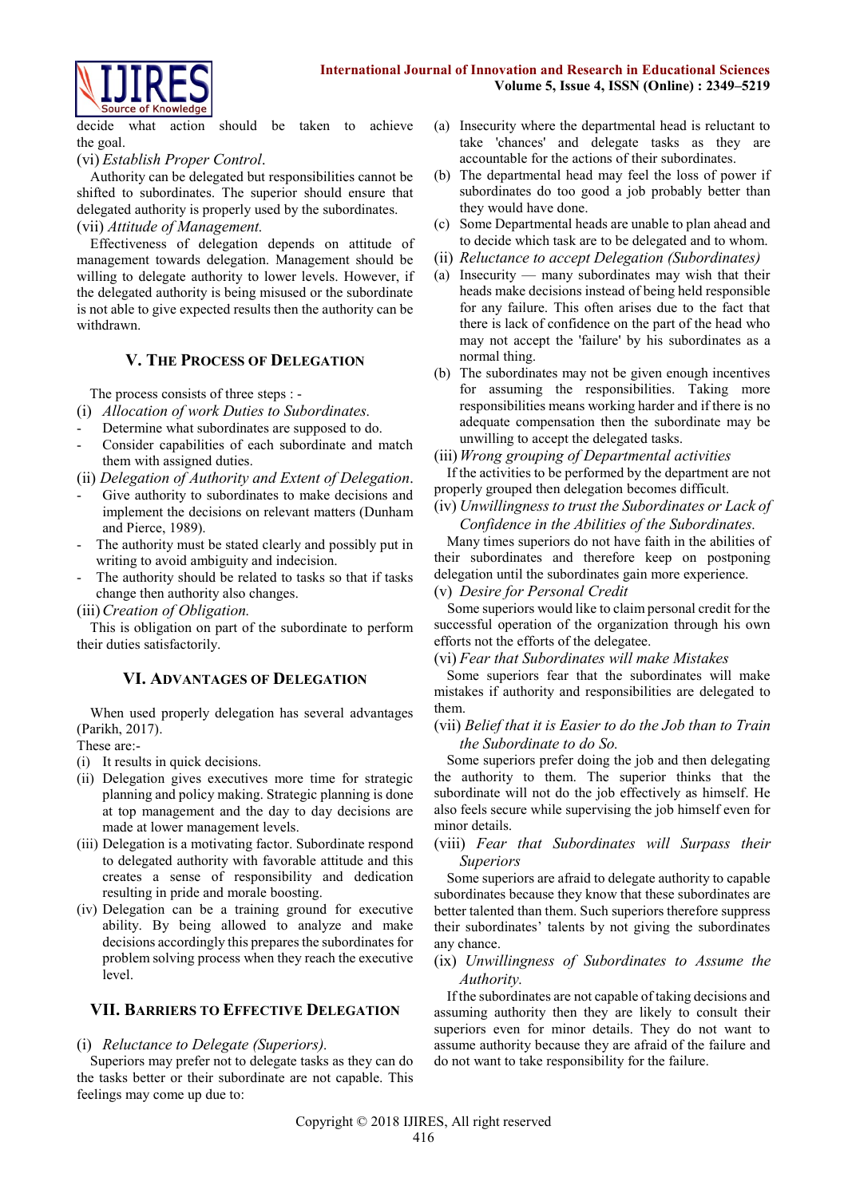#### **International Journal of Innovation and Research in Educational Sciences Volume 5, Issue 4, ISSN (Online) : 2349–5219**



decide what action should be taken to achieve the goal.

## (vi) *Establish Proper Control*.

Authority can be delegated but responsibilities cannot be shifted to subordinates. The superior should ensure that delegated authority is properly used by the subordinates. (vii) *Attitude of Management.*

Effectiveness of delegation depends on attitude of management towards delegation. Management should be willing to delegate authority to lower levels. However, if the delegated authority is being misused or the subordinate is not able to give expected results then the authority can be withdrawn.

## **V. THE PROCESS OF DELEGATION**

The process consists of three steps : -

- (i) *Allocation of work Duties to Subordinates.*
- Determine what subordinates are supposed to do.
- Consider capabilities of each subordinate and match them with assigned duties.
- (ii) *Delegation of Authority and Extent of Delegation*.
- Give authority to subordinates to make decisions and implement the decisions on relevant matters (Dunham and Pierce, 1989).
- The authority must be stated clearly and possibly put in writing to avoid ambiguity and indecision.
- The authority should be related to tasks so that if tasks change then authority also changes.

(iii)*Creation of Obligation.*

This is obligation on part of the subordinate to perform their duties satisfactorily.

## **VI. ADVANTAGES OF DELEGATION**

When used properly delegation has several advantages (Parikh, 2017).

These are:-

- (i) It results in quick decisions.
- (ii) Delegation gives executives more time for strategic planning and policy making. Strategic planning is done at top management and the day to day decisions are made at lower management levels.
- (iii) Delegation is a motivating factor. Subordinate respond to delegated authority with favorable attitude and this creates a sense of responsibility and dedication resulting in pride and morale boosting.
- (iv) Delegation can be a training ground for executive ability. By being allowed to analyze and make decisions accordingly this prepares the subordinates for problem solving process when they reach the executive level.

## **VII. BARRIERS TO EFFECTIVE DELEGATION**

## (i) *Reluctance to Delegate (Superiors).*

Superiors may prefer not to delegate tasks as they can do the tasks better or their subordinate are not capable. This feelings may come up due to:

- (a) Insecurity where the departmental head is reluctant to take 'chances' and delegate tasks as they are accountable for the actions of their subordinates.
- (b) The departmental head may feel the loss of power if subordinates do too good a job probably better than they would have done.
- (c) Some Departmental heads are unable to plan ahead and to decide which task are to be delegated and to whom.
- (ii) *Reluctance to accept Delegation (Subordinates)*
- (a) Insecurity many subordinates may wish that their heads make decisions instead of being held responsible for any failure. This often arises due to the fact that there is lack of confidence on the part of the head who may not accept the 'failure' by his subordinates as a normal thing.
- (b) The subordinates may not be given enough incentives for assuming the responsibilities. Taking more responsibilities means working harder and if there is no adequate compensation then the subordinate may be unwilling to accept the delegated tasks.

(iii)*Wrong grouping of Departmental activities*

If the activities to be performed by the department are not properly grouped then delegation becomes difficult.

(iv) *Unwillingness to trust the Subordinates or Lack of Confidence in the Abilities of the Subordinates.*

Many times superiors do not have faith in the abilities of their subordinates and therefore keep on postponing delegation until the subordinates gain more experience.

#### (v) *Desire for Personal Credit*

Some superiors would like to claim personal credit for the successful operation of the organization through his own efforts not the efforts of the delegatee.

(vi) *Fear that Subordinates will make Mistakes*

Some superiors fear that the subordinates will make mistakes if authority and responsibilities are delegated to them.

## (vii) *Belief that it is Easier to do the Job than to Train the Subordinate to do So.*

Some superiors prefer doing the job and then delegating the authority to them. The superior thinks that the subordinate will not do the job effectively as himself. He also feels secure while supervising the job himself even for minor details.

#### (viii) *Fear that Subordinates will Surpass their Superiors*

Some superiors are afraid to delegate authority to capable subordinates because they know that these subordinates are better talented than them. Such superiors therefore suppress their subordinates' talents by not giving the subordinates any chance.

#### (ix) *Unwillingness of Subordinates to Assume the Authority.*

If the subordinates are not capable of taking decisions and assuming authority then they are likely to consult their superiors even for minor details. They do not want to assume authority because they are afraid of the failure and do not want to take responsibility for the failure.